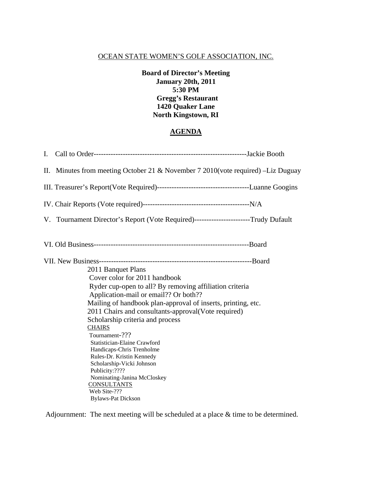**Board of Director's Meeting January 20th, 2011 5:30 PM Gregg's Restaurant 1420 Quaker Lane North Kingstown, RI** 

### **AGENDA**

| II. Minutes from meeting October 21 & November $7\ 2010$ (vote required) -Liz Duguay                                                                                                                                                                                                                                                                                                                                     |                                                                                                                                                                      |
|--------------------------------------------------------------------------------------------------------------------------------------------------------------------------------------------------------------------------------------------------------------------------------------------------------------------------------------------------------------------------------------------------------------------------|----------------------------------------------------------------------------------------------------------------------------------------------------------------------|
|                                                                                                                                                                                                                                                                                                                                                                                                                          |                                                                                                                                                                      |
|                                                                                                                                                                                                                                                                                                                                                                                                                          |                                                                                                                                                                      |
| V. Tournament Director's Report (Vote Required)------------------------Trudy Dufault                                                                                                                                                                                                                                                                                                                                     |                                                                                                                                                                      |
|                                                                                                                                                                                                                                                                                                                                                                                                                          |                                                                                                                                                                      |
| 2011 Banquet Plans<br>Cover color for 2011 handbook<br>Application-mail or email?? Or both??<br>2011 Chairs and consultants-approval(Vote required)<br>Scholarship criteria and process<br><b>CHAIRS</b><br>Tournament-???<br>Statistician-Elaine Crawford<br>Handicaps-Chris Trenholme<br>Rules-Dr. Kristin Kennedy<br>Scholarship-Vicki Johnson<br>Publicity:????<br>Nominating-Janina McCloskey<br><b>CONSULTANTS</b> |                                                                                                                                                                      |
|                                                                                                                                                                                                                                                                                                                                                                                                                          | Ryder cup-open to all? By removing affiliation criteria<br>Mailing of handbook plan-approval of inserts, printing, etc.<br>Web Site-???<br><b>Bylaws-Pat Dickson</b> |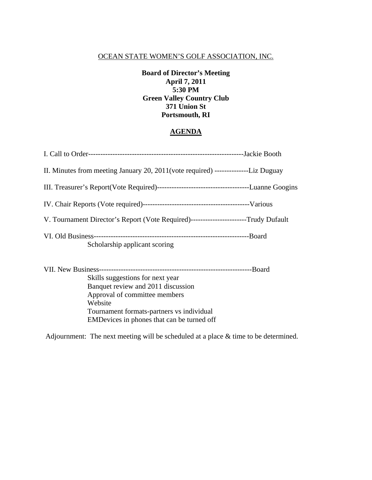**Board of Director's Meeting April 7, 2011 5:30 PM Green Valley Country Club 371 Union St Portsmouth, RI** 

#### **AGENDA**

| II. Minutes from meeting January 20, 2011(vote required) ----------------Liz Duguay   |  |
|---------------------------------------------------------------------------------------|--|
|                                                                                       |  |
|                                                                                       |  |
| V. Tournament Director's Report (Vote Required)-------------------------Trudy Dufault |  |
| Scholarship applicant scoring                                                         |  |
| Skills suggestions for next year                                                      |  |

sugge Banquet review and 2011 discussion Approval of committee members Website Tournament formats-partners vs individual EMDevices in phones that can be turned off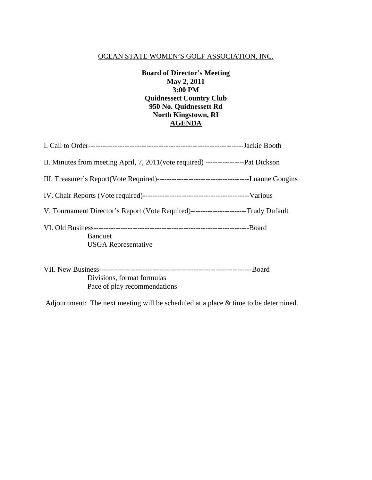**Board of Director's Meeting May 2, 2011 3:00 PM Quidnessett Country Club 950 No. Quidnessett Rd North Kingstown, RI AGENDA**

| II. Minutes from meeting April, 7, 2011(vote required) ------------------Pat Dickson |  |
|--------------------------------------------------------------------------------------|--|
|                                                                                      |  |
|                                                                                      |  |
| V. Tournament Director's Report (Vote Required)------------------------Trudy Dufault |  |
| Banquet<br><b>USGA</b> Representative                                                |  |
| Divisions, format formulas<br>Pace of play recommendations                           |  |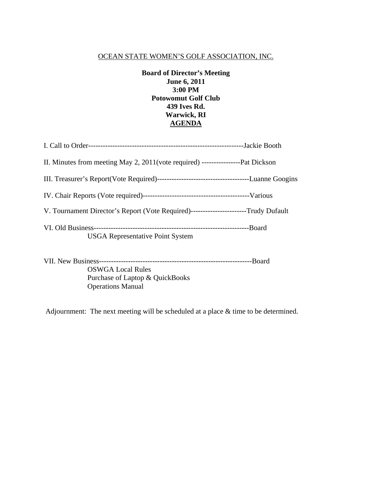## **Board of Director's Meeting June 6, 2011 3:00 PM Potowomut Golf Club 439 Ives Rd. Warwick, RI AGENDA**

| V. Tournament Director's Report (Vote Required)-------------------------Trudy Dufault |  |
|---------------------------------------------------------------------------------------|--|
| <b>USGA Representative Point System</b>                                               |  |

VII. New Business---------------------------------------------------------------Board

 OSWGA Local Rules Purchase of Laptop & QuickBooks Operations Manual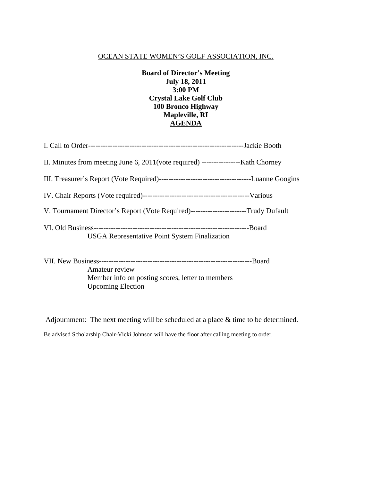**Board of Director's Meeting July 18, 2011 3:00 PM Crystal Lake Golf Club 100 Bronco Highway Mapleville, RI AGENDA**

| V. Tournament Director's Report (Vote Required)-------------------------Trudy Dufault |         |
|---------------------------------------------------------------------------------------|---------|
| <b>USGA Representative Point System Finalization</b>                                  | --Board |

| Amateur review                                   |  |
|--------------------------------------------------|--|
| Member info on posting scores, letter to members |  |
| <b>Upcoming Election</b>                         |  |

Adjournment: The next meeting will be scheduled at a place & time to be determined. Be advised Scholarship Chair-Vicki Johnson will have the floor after calling meeting to order.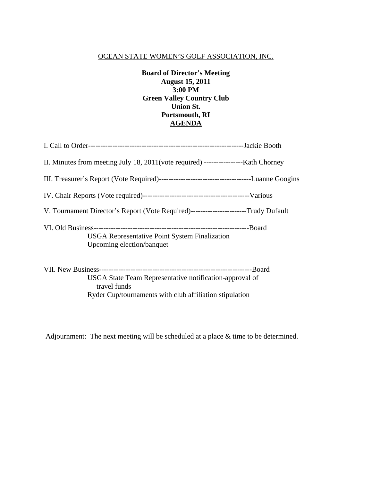**Board of Director's Meeting August 15, 2011 3:00 PM Green Valley Country Club Union St. Portsmouth, RI AGENDA**

| V. Tournament Director's Report (Vote Required)-------------------------Trudy Dufault |  |
|---------------------------------------------------------------------------------------|--|
| <b>USGA Representative Point System Finalization</b><br>Upcoming election/banquet     |  |
|                                                                                       |  |

 USGA State Team Representative notification-approval of travel funds Ryder Cup/tournaments with club affiliation stipulation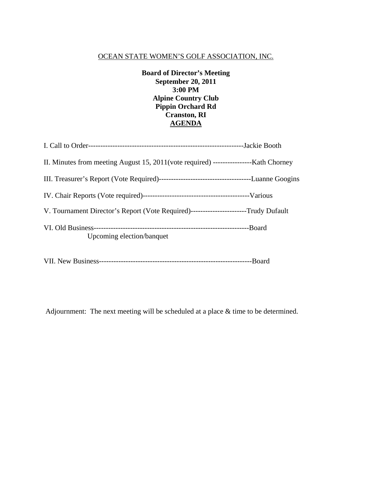**Board of Director's Meeting September 20, 2011 3:00 PM Alpine Country Club Pippin Orchard Rd Cranston, RI AGENDA**

| V. Tournament Director's Report (Vote Required)------------------------Trudy Dufault |  |
|--------------------------------------------------------------------------------------|--|
| Upcoming election/banquet                                                            |  |
|                                                                                      |  |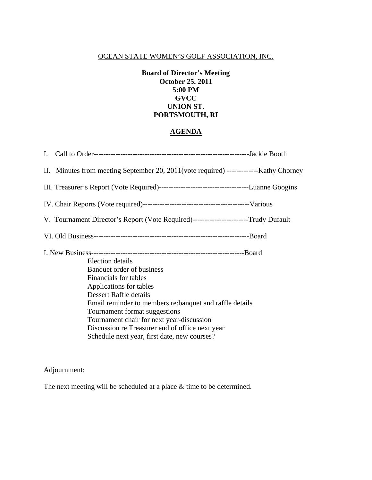## **Board of Director's Meeting October 25. 2011 5:00 PM GVCC UNION ST. PORTSMOUTH, RI**

# **AGENDA**

| V. Tournament Director's Report (Vote Required)-------------------------Trudy Dufault                                                                                                                                                                                                                                                                                                  |  |
|----------------------------------------------------------------------------------------------------------------------------------------------------------------------------------------------------------------------------------------------------------------------------------------------------------------------------------------------------------------------------------------|--|
|                                                                                                                                                                                                                                                                                                                                                                                        |  |
| <b>Election</b> details<br>Banquet order of business<br><b>Financials</b> for tables<br>Applications for tables<br>Dessert Raffle details<br>Email reminder to members re: banquet and raffle details<br>Tournament format suggestions<br>Tournament chair for next year-discussion<br>Discussion re Treasurer end of office next year<br>Schedule next year, first date, new courses? |  |
|                                                                                                                                                                                                                                                                                                                                                                                        |  |

Adjournment: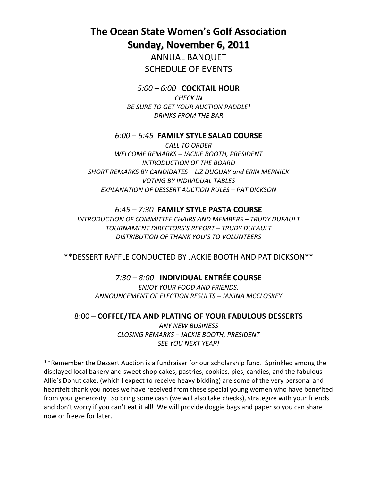**The Ocean State Women's Golf Association Sunday, November 6, 2011**

> ANNUAL BANQUET SCHEDULE OF EVENTS

*5:00 – 6:00* **COCKTAIL HOUR** *CHECK IN BE SURE TO GET YOUR AUCTION PADDLE! DRINKS FROM THE BAR*

### *6:00 – 6:45* **FAMILY STYLE SALAD COURSE**

*CALL TO ORDER WELCOME REMARKS – JACKIE BOOTH, PRESIDENT INTRODUCTION OF THE BOARD SHORT REMARKS BY CANDIDATES – LIZ DUGUAY and ERIN MERNICK VOTING BY INDIVIDUAL TABLES EXPLANATION OF DESSERT AUCTION RULES – PAT DICKSON*

#### *6:45 – 7:30* **FAMILY STYLE PASTA COURSE**

*INTRODUCTION OF COMMITTEE CHAIRS AND MEMBERS – TRUDY DUFAULT TOURNAMENT DIRECTORS'S REPORT – TRUDY DUFAULT DISTRIBUTION OF THANK YOU'S TO VOLUNTEERS* 

\*\*DESSERT RAFFLE CONDUCTED BY JACKIE BOOTH AND PAT DICKSON\*\*

### *7:30 – 8:00* **INDIVIDUAL ENTRÉE COURSE**

*ENJOY YOUR FOOD AND FRIENDS. ANNOUNCEMENT OF ELECTION RESULTS – JANINA MCCLOSKEY*

#### 8:00 – **COFFEE/TEA AND PLATING OF YOUR FABULOUS DESSERTS**

*ANY NEW BUSINESS CLOSING REMARKS – JACKIE BOOTH, PRESIDENT SEE YOU NEXT YEAR!*

\*\*Remember the Dessert Auction is a fundraiser for our scholarship fund. Sprinkled among the displayed local bakery and sweet shop cakes, pastries, cookies, pies, candies, and the fabulous Allie's Donut cake, (which I expect to receive heavy bidding) are some of the very personal and heartfelt thank you notes we have received from these special young women who have benefited from your generosity. So bring some cash (we will also take checks), strategize with your friends and don't worry if you can't eat it all! We will provide doggie bags and paper so you can share now or freeze for later.